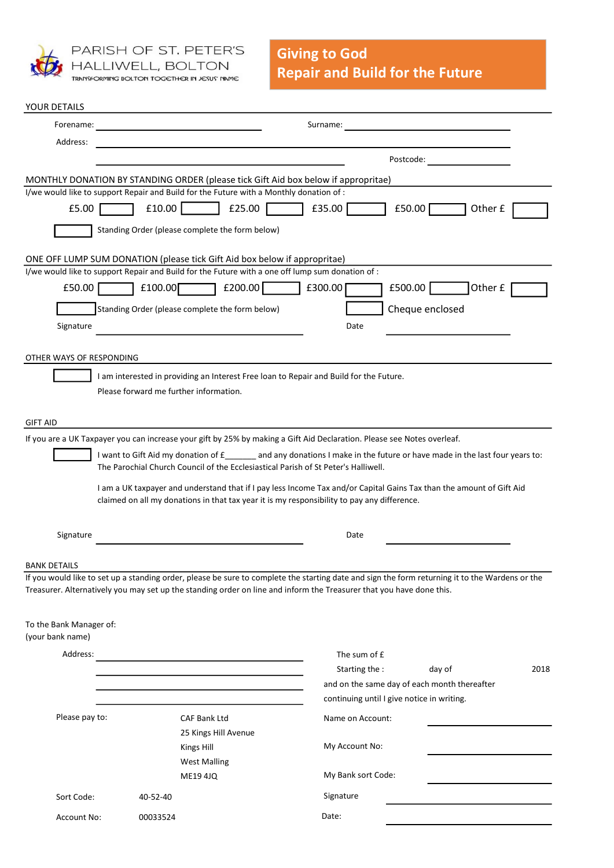

PARISH OF ST. PETER'S HALLIWELL, BOLTON<br>TRANSFORMING BOLTON TOGETHER IN JESUS' NAME

| YOUR DETAILS                                |                                        |                                                                                                                                                                                                                     |                                              |                                                                                                                                                 |      |
|---------------------------------------------|----------------------------------------|---------------------------------------------------------------------------------------------------------------------------------------------------------------------------------------------------------------------|----------------------------------------------|-------------------------------------------------------------------------------------------------------------------------------------------------|------|
| Forename:                                   |                                        |                                                                                                                                                                                                                     | Surname:                                     |                                                                                                                                                 |      |
| Address:                                    |                                        |                                                                                                                                                                                                                     |                                              |                                                                                                                                                 |      |
|                                             |                                        |                                                                                                                                                                                                                     | Postcode:                                    |                                                                                                                                                 |      |
|                                             |                                        | MONTHLY DONATION BY STANDING ORDER (please tick Gift Aid box below if appropritae)                                                                                                                                  |                                              |                                                                                                                                                 |      |
|                                             |                                        | I/we would like to support Repair and Build for the Future with a Monthly donation of :                                                                                                                             |                                              |                                                                                                                                                 |      |
| £5.00                                       | £10.00                                 | £25.00                                                                                                                                                                                                              | £35.00                                       | £50.00<br>Other £                                                                                                                               |      |
|                                             |                                        | Standing Order (please complete the form below)                                                                                                                                                                     |                                              |                                                                                                                                                 |      |
|                                             |                                        | ONE OFF LUMP SUM DONATION (please tick Gift Aid box below if appropritae)                                                                                                                                           |                                              |                                                                                                                                                 |      |
|                                             |                                        | I/we would like to support Repair and Build for the Future with a one off lump sum donation of :                                                                                                                    |                                              |                                                                                                                                                 |      |
| £50.00                                      | £100.00                                | £200.00                                                                                                                                                                                                             | £300.00<br>£500.00                           | Other £                                                                                                                                         |      |
|                                             |                                        | Standing Order (please complete the form below)                                                                                                                                                                     |                                              | Cheque enclosed                                                                                                                                 |      |
| Signature                                   |                                        |                                                                                                                                                                                                                     | Date                                         |                                                                                                                                                 |      |
|                                             |                                        |                                                                                                                                                                                                                     |                                              |                                                                                                                                                 |      |
| OTHER WAYS OF RESPONDING                    |                                        |                                                                                                                                                                                                                     |                                              |                                                                                                                                                 |      |
|                                             |                                        | I am interested in providing an Interest Free Ioan to Repair and Build for the Future.                                                                                                                              |                                              |                                                                                                                                                 |      |
|                                             | Please forward me further information. |                                                                                                                                                                                                                     |                                              |                                                                                                                                                 |      |
|                                             |                                        |                                                                                                                                                                                                                     |                                              |                                                                                                                                                 |      |
| <b>GIFT AID</b>                             |                                        |                                                                                                                                                                                                                     |                                              |                                                                                                                                                 |      |
|                                             |                                        | If you are a UK Taxpayer you can increase your gift by 25% by making a Gift Aid Declaration. Please see Notes overleaf.                                                                                             |                                              |                                                                                                                                                 |      |
|                                             |                                        | The Parochial Church Council of the Ecclesiastical Parish of St Peter's Halliwell.                                                                                                                                  |                                              | I want to Gift Aid my donation of £_______ and any donations I make in the future or have made in the last four years to:                       |      |
|                                             |                                        |                                                                                                                                                                                                                     |                                              |                                                                                                                                                 |      |
|                                             |                                        | I am a UK taxpayer and understand that if I pay less Income Tax and/or Capital Gains Tax than the amount of Gift Aid<br>claimed on all my donations in that tax year it is my responsibility to pay any difference. |                                              |                                                                                                                                                 |      |
|                                             |                                        |                                                                                                                                                                                                                     |                                              |                                                                                                                                                 |      |
| Signature                                   |                                        |                                                                                                                                                                                                                     | Date                                         |                                                                                                                                                 |      |
|                                             |                                        |                                                                                                                                                                                                                     |                                              |                                                                                                                                                 |      |
| BANK DETAILS                                |                                        |                                                                                                                                                                                                                     |                                              |                                                                                                                                                 |      |
|                                             |                                        |                                                                                                                                                                                                                     |                                              | If you would like to set up a standing order, please be sure to complete the starting date and sign the form returning it to the Wardens or the |      |
|                                             |                                        | Treasurer. Alternatively you may set up the standing order on line and inform the Treasurer that you have done this.                                                                                                |                                              |                                                                                                                                                 |      |
|                                             |                                        |                                                                                                                                                                                                                     |                                              |                                                                                                                                                 |      |
| To the Bank Manager of:<br>(your bank name) |                                        |                                                                                                                                                                                                                     |                                              |                                                                                                                                                 |      |
|                                             |                                        |                                                                                                                                                                                                                     |                                              |                                                                                                                                                 |      |
| Address:                                    |                                        | <u> 1980 - Johann Barn, mars an t-Amerikaansk kommunister (</u>                                                                                                                                                     | The sum of £<br>Starting the :               | day of                                                                                                                                          | 2018 |
|                                             |                                        |                                                                                                                                                                                                                     | and on the same day of each month thereafter |                                                                                                                                                 |      |
|                                             |                                        |                                                                                                                                                                                                                     | continuing until I give notice in writing.   |                                                                                                                                                 |      |
| Please pay to:                              |                                        | <b>CAF Bank Ltd</b>                                                                                                                                                                                                 | Name on Account:                             |                                                                                                                                                 |      |
|                                             |                                        | 25 Kings Hill Avenue                                                                                                                                                                                                |                                              |                                                                                                                                                 |      |
|                                             |                                        | Kings Hill                                                                                                                                                                                                          | My Account No:                               |                                                                                                                                                 |      |
|                                             |                                        | <b>West Malling</b>                                                                                                                                                                                                 |                                              |                                                                                                                                                 |      |
|                                             |                                        | <b>ME19 4JQ</b>                                                                                                                                                                                                     | My Bank sort Code:                           |                                                                                                                                                 |      |
| Sort Code:                                  | 40-52-40                               |                                                                                                                                                                                                                     | Signature                                    |                                                                                                                                                 |      |
| Account No:                                 | 00033524                               |                                                                                                                                                                                                                     | Date:                                        |                                                                                                                                                 |      |